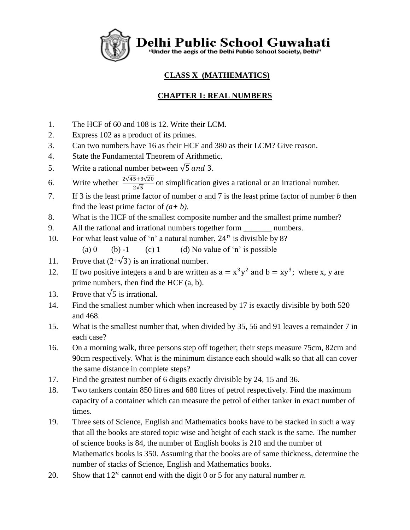Delhi Public School Guwahati<br>"Under the aegis of the Delhi Public School Society, Delhi"

# **CLASS X (MATHEMATICS)**

# **CHAPTER 1: REAL NUMBERS**

- 1. The HCF of 60 and 108 is 12. Write their LCM.
- 2. Express 102 as a product of its primes.
- 3. Can two numbers have 16 as their HCF and 380 as their LCM? Give reason.
- 4. State the Fundamental Theorem of Arithmetic.
- 5. Write a rational number between  $\sqrt{5}$  and 3.
- 6. Write whether  $\frac{2\sqrt{45+3}\sqrt{20}}{2\sqrt{5}}$  on simplification gives a rational or an irrational number.
- 7. If 3 is the least prime factor of number *a* and 7 is the least prime factor of number *b* then find the least prime factor of  $(a + b)$ .
- 8. What is the HCF of the smallest composite number and the smallest prime number?
- 9. All the rational and irrational numbers together form numbers.
- 10. For what least value of 'n' a natural number,  $24^n$  is divisible by 8? (a)  $0$  **(b)** -1 **(c)** 1 **(d)** No value of 'n' is possible
- 11. Prove that  $(2+\sqrt{3})$  is an irrational number.
- 12. If two positive integers a and b are written as  $a = x^3y^2$  and  $b = xy^3$ ; where x, y are prime numbers, then find the HCF (a, b).
- 13. Prove that  $\sqrt{5}$  is irrational.
- 14. Find the smallest number which when increased by 17 is exactly divisible by both 520 and 468.
- 15. What is the smallest number that, when divided by 35, 56 and 91 leaves a remainder 7 in each case?
- 16. On a morning walk, three persons step off together; their steps measure 75cm, 82cm and 90cm respectively. What is the minimum distance each should walk so that all can cover the same distance in complete steps?
- 17. Find the greatest number of 6 digits exactly divisible by 24, 15 and 36.
- 18. Two tankers contain 850 litres and 680 litres of petrol respectively. Find the maximum capacity of a container which can measure the petrol of either tanker in exact number of times.
- 19. Three sets of Science, English and Mathematics books have to be stacked in such a way that all the books are stored topic wise and height of each stack is the same. The number of science books is 84, the number of English books is 210 and the number of Mathematics books is 350. Assuming that the books are of same thickness, determine the number of stacks of Science, English and Mathematics books.
- 20. Show that  $12^n$  cannot end with the digit 0 or 5 for any natural number *n*.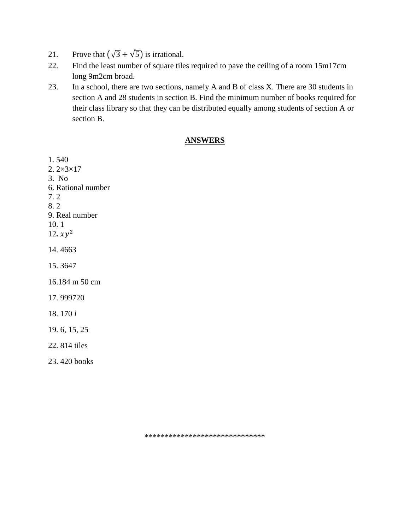- 21. Prove that  $(\sqrt{3} + \sqrt{5})$  is irrational.
- 22. Find the least number of square tiles required to pave the ceiling of a room 15m17cm long 9m2cm broad.
- 23. In a school, there are two sections, namely A and B of class X. There are 30 students in section A and 28 students in section B. Find the minimum number of books required for their class library so that they can be distributed equally among students of section A or section B.

### **ANSWERS**

1. 540 2. 2×3×17 3. No 6. Rational number 7. 2 8. 2 9. Real number 10. 1 12.  $xy^2$ 14. 4663 15. 3647 16.184 m 50 cm 17. 999720 18. 170 *l* 19. 6, 15, 25 22. 814 tiles 23. 420 books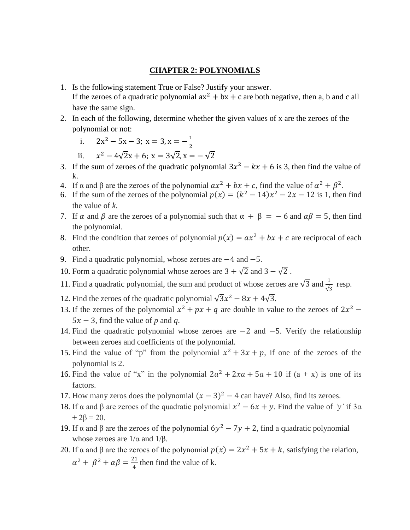#### **CHAPTER 2: POLYNOMIALS**

- 1. Is the following statement True or False? Justify your answer. If the zeroes of a quadratic polynomial  $ax^2 + bx + c$  are both negative, then a, b and c all have the same sign.
- 2. In each of the following, determine whether the given values of x are the zeroes of the polynomial or not:
	- i.  $2x^2 5x 3$ ;  $x = 3$ ,  $x = -\frac{1}{3}$ 2
	- ii.  $x^2 - 4\sqrt{2}x + 6$ ;  $x = 3\sqrt{2}$ ,  $x = -\sqrt{2}$
- 3. If the sum of zeroes of the quadratic polynomial  $3x^2 kx + 6$  is 3, then find the value of k.
- 4. If  $\alpha$  and  $\beta$  are the zeroes of the polynomial  $ax^2 + bx + c$ , find the value of  $\alpha^2 + \beta^2$ .
- 6. If the sum of the zeroes of the polynomial  $p(x) = (k^2 14)x^2 2x 12$  is 1, then find the value of *k*.
- 7. If  $\alpha$  and  $\beta$  are the zeroes of a polynomial such that  $\alpha + \beta = -6$  and  $\alpha\beta = 5$ , then find the polynomial.
- 8. Find the condition that zeroes of polynomial  $p(x) = ax^2 + bx + c$  are reciprocal of each other.
- 9. Find a quadratic polynomial, whose zeroes are −4 and −5.
- 10. Form a quadratic polynomial whose zeroes are  $3 + \sqrt{2}$  and  $3 \sqrt{2}$ .
- 11. Find a quadratic polynomial, the sum and product of whose zeroes are  $\sqrt{3}$  and  $\frac{1}{\sqrt{3}}$  resp.
- 12. Find the zeroes of the quadratic polynomial  $\sqrt{3}x^2 8x + 4\sqrt{3}$ .
- 13. If the zeroes of the polynomial  $x^2 + px + q$  are double in value to the zeroes of  $2x^2$   $5x - 3$ , find the value of *p* and *q*.
- 14. Find the quadratic polynomial whose zeroes are −2 and −5. Verify the relationship between zeroes and coefficients of the polynomial.
- 15. Find the value of "p" from the polynomial  $x^2 + 3x + p$ , if one of the zeroes of the polynomial is 2.
- 16. Find the value of "x" in the polynomial  $2a^2 + 2xa + 5a + 10$  if  $(a + x)$  is one of its factors.
- 17. How many zeros does the polynomial  $(x 3)^2 4$  can have? Also, find its zeroes.
- 18. If α and β are zeroes of the quadratic polynomial  $x^2 6x + y$ . Find the value of *'y'* if 3α  $+ 2\beta = 20.$
- 19. If α and β are the zeroes of the polynomial  $6y^2 7y + 2$ , find a quadratic polynomial whose zeroes are  $1/\alpha$  and  $1/\beta$ .
- 20. If  $\alpha$  and  $\beta$  are the zeroes of the polynomial  $p(x) = 2x^2 + 5x + k$ , satisfying the relation,  $\alpha^2 + \beta^2 + \alpha \beta = \frac{21}{4}$  $\frac{1}{4}$  then find the value of k.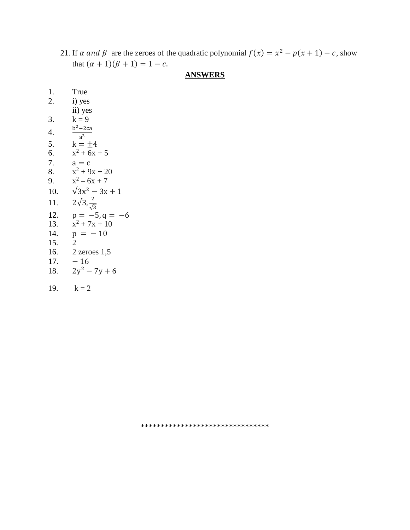21. If  $\alpha$  and  $\beta$  are the zeroes of the quadratic polynomial  $f(x) = x^2 - p(x + 1) - c$ , show that  $(\alpha + 1)(\beta + 1) = 1 - c$ .

## **ANSWERS**

| 1.               | True                            |
|------------------|---------------------------------|
| 2.               | i) yes                          |
|                  | ii) yes                         |
| 3.               | $k = 9$                         |
| $\overline{4}$ . | $b^2$ – 2ca<br>a <sup>2</sup>   |
| 5.               | $k = \pm 4$                     |
| 6.               | $x^2 + 6x + 5$                  |
| 7.               | $a = c$                         |
| 8.               | $x^2 + 9x + 20$                 |
| 9.               | $x^2 - 6x + 7$                  |
| 10.              | $\sqrt{3x^2-3x+1}$              |
| 11.              | $2\sqrt{3}, \frac{2}{\sqrt{3}}$ |
| 12.              | $p = -5, q = -6$                |
| 13.              | $x^2 + 7x + 10$                 |
| 14.              | $p = -10$                       |
| 15.              | $\overline{2}$                  |
| 16.              | $2$ zeroes 1,5                  |
| 17.              | $-16$                           |
| 18.              | $2y^2 - 7y + 6$                 |
| 19.              | $k = 2$                         |

\*\*\*\*\*\*\*\*\*\*\*\*\*\*\*\*\*\*\*\*\*\*\*\*\*\*\*\*\*\*\*\*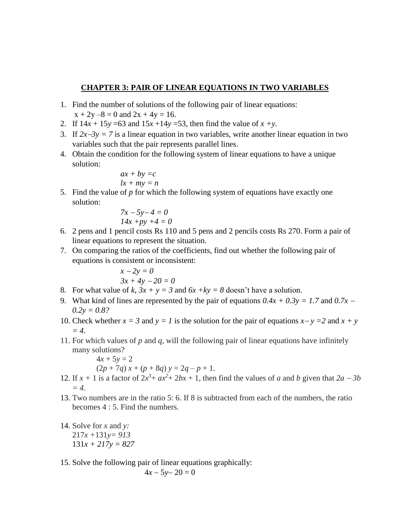### **CHAPTER 3: PAIR OF LINEAR EQUATIONS IN TWO VARIABLES**

- 1. Find the number of solutions of the following pair of linear equations:  $x + 2y -8 = 0$  and  $2x + 4y = 16$ .
- 2. If  $14x + 15y = 63$  and  $15x + 14y = 53$ , then find the value of  $x + y$ .
- 3. If  $2x-3y = 7$  is a linear equation in two variables, write another linear equation in two variables such that the pair represents parallel lines.
- 4. Obtain the condition for the following system of linear equations to have a unique solution:

$$
ax + by = c
$$
  

$$
lx + my = n
$$

5. Find the value of *p* for which the following system of equations have exactly one solution:

$$
7x - 5y - 4 = 0
$$
  

$$
14x + py + 4 = 0
$$

- 6. 2 pens and 1 pencil costs Rs 110 and 5 pens and 2 pencils costs Rs 270. Form a pair of linear equations to represent the situation.
- 7. On comparing the ratios of the coefficients, find out whether the following pair of equations is consistent or inconsistent:

$$
x - 2y = 0
$$
  
3x + 4y - 20 = 0

- 8. For what value of  $k$ ,  $3x + y = 3$  and  $6x + ky = 8$  doesn't have a solution.
- 9. What kind of lines are represented by the pair of equations  $0.4x + 0.3y = 1.7$  and  $0.7x -$ *0.2y = 0.8?*
- 10. Check whether  $x = 3$  and  $y = 1$  is the solution for the pair of equations  $x y = 2$  and  $x + y = 1$ *= 4.*
- 11. For which values of *p* and *q*, will the following pair of linear equations have infinitely many solutions?

 $4x + 5y = 2$ 

$$
(2p + 7q) x + (p + 8q) y = 2q - p + 1.
$$

- 12. If  $x + 1$  is a factor of  $2x^3 + ax^2 + 2bx + 1$ , then find the values of *a* and *b* given that  $2a 3b$ *= 4*.
- 13. Two numbers are in the ratio 5: 6. If 8 is subtracted from each of the numbers, the ratio becomes  $4:5$ . Find the numbers.
- 14. Solve for *x* and *y:*  217*x +*131*y= 913* 131*x + 217y = 827*
- 15. Solve the following pair of linear equations graphically:

$$
4x-5y-20=0
$$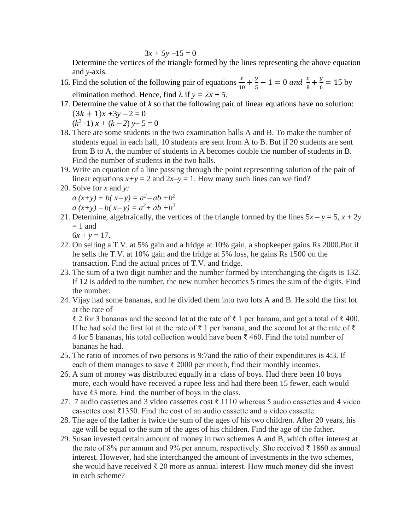$$
3x + 5y - 15 = 0
$$

Determine the vertices of the triangle formed by the lines representing the above equation and *y-*axis.

- 16. Find the solution of the following pair of equations  $\frac{x}{10} + \frac{y}{5}$  $\frac{y}{5} - 1 = 0$  and  $\frac{x}{8} + \frac{y}{6}$  $\frac{y}{6}$  = 15 by elimination method. Hence, find  $\lambda$  if  $y = \lambda x + 5$ .
- 17. Determine the value of *k* so that the following pair of linear equations have no solution:  $(3k + 1)x + 3y - 2 = 0$  $(k^2+1)x + (k-2)y - 5 = 0$
- 18. There are some students in the two examination halls A and B. To make the number of students equal in each hall, 10 students are sent from A to B. But if 20 students are sent from B to A, the number of students in A becomes double the number of students in B. Find the number of students in the two halls.
- 19. Write an equation of a line passing through the point representing solution of the pair of linear equations  $x+y = 2$  and  $2x-y = 1$ . How many such lines can we find?
- 20. Solve for *x* and *y:*
	- $a(x+y) + b(x-y) = a^2 ab + b^2$
	- $a(x+y) b(x-y) = a^2 + ab + b^2$
- 21. Determine, algebraically, the vertices of the triangle formed by the lines  $5x y = 5$ ,  $x + 2y$  $= 1$  and
	- $6x + y = 17$ .
- 22. On selling a T.V. at 5% gain and a fridge at 10% gain, a shopkeeper gains Rs 2000.But if he sells the T.V. at 10% gain and the fridge at 5% loss, he gains Rs 1500 on the transaction. Find the actual prices of T.V. and fridge.
- 23. The sum of a two digit number and the number formed by interchanging the digits is 132. If 12 is added to the number, the new number becomes 5 times the sum of the digits. Find the number.
- 24. Vijay had some bananas, and he divided them into two lots A and B. He sold the first lot at the rate of

₹ 2 for 3 bananas and the second lot at the rate of ₹ 1 per banana, and got a total of ₹ 400. If he had sold the first lot at the rate of ₹ 1 per banana, and the second lot at the rate of ₹ 4 for 5 bananas, his total collection would have been  $\bar{\xi}$  460. Find the total number of bananas he had.

- 25. The ratio of incomes of two persons is 9:7and the ratio of their expenditures is 4:3. If each of them manages to save  $\bar{\tau}$  2000 per month, find their monthly incomes.
- 26. A sum of money was distributed equally in a class of boys. Had there been 10 boys more, each would have received a rupee less and had there been 15 fewer, each would have ₹3 more. Find the number of boys in the class.
- 27. 7 audio cassettes and 3 video cassettes cost ₹ 1110 whereas 5 audio cassettes and 4 video cassettes cost  $\bar{\xi}$ 1350. Find the cost of an audio cassette and a video cassette.
- 28. The age of the father is twice the sum of the ages of his two children. After 20 years, his age will be equal to the sum of the ages of his children. Find the age of the father.
- 29. Susan invested certain amount of money in two schemes A and B, which offer interest at the rate of 8% per annum and 9% per annum, respectively. She received ₹ 1860 as annual interest. However, had she interchanged the amount of investments in the two schemes, she would have received  $\bar{\tau}$  20 more as annual interest. How much money did she invest in each scheme?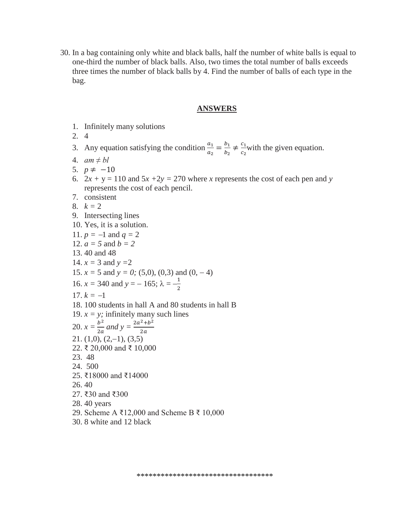30. In a bag containing only white and black balls, half the number of white balls is equal to one-third the number of black balls. Also, two times the total number of balls exceeds three times the number of black balls by 4. Find the number of balls of each type in the bag.

#### **ANSWERS**

- 1. Infinitely many solutions
- 2. 4

3. Any equation satisfying the condition  $\frac{a_1}{a_2} = \frac{b_1}{b_2}$  $\frac{b_1}{b_2} \neq \frac{c_1}{c_2}$  $rac{c_1}{c_2}$  with the given equation.

- 4. *am ≠ bl*
- 5. *p* ≠ −10
- 6.  $2x + y = 110$  and  $5x + 2y = 270$  where *x* represents the cost of each pen and *y* represents the cost of each pencil.
- 7. consistent
- 8.  $k = 2$
- 9. Intersecting lines
- 10. Yes, it is a solution.
- 11.  $p = -1$  and  $q = 2$
- 12. *a = 5* and *b = 2*
- 13. 40 and 48
- 14.  $x = 3$  and  $y = 2$
- 15.  $x = 5$  and  $y = 0$ ; (5,0), (0,3) and (0, -4)

16. 
$$
x = 340
$$
 and  $y = -165$ ;  $\lambda = -\frac{1}{2}$ 

- $17. k = -1$
- 18. 100 students in hall A and 80 students in hall B
- 19.  $x = y$ ; infinitely many such lines
- 20.  $x = \frac{b^2}{2a}$  $\frac{b^2}{2a}$  and  $y = \frac{2a^2 + b^2}{2a}$  $2a$
- $21. (1,0), (2,-1), (3,5)$
- 22. ₹ 20,000 and ₹ 10,000
- 23. 48
- 24. 500
- 25. ₹18000 and ₹14000
- 26. 40
- 27. ₹30 and ₹300
- 28. 40 years
- 29. Scheme A ₹12,000 and Scheme B ₹ 10,000
- 30. 8 white and 12 black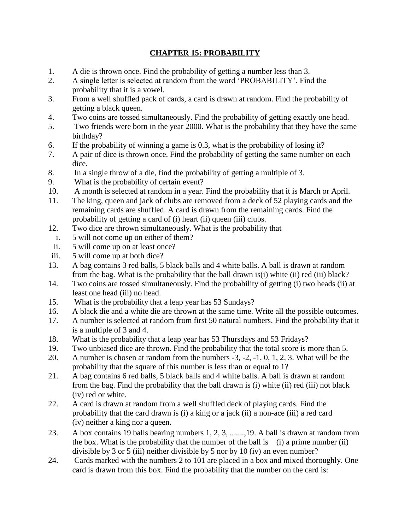## **CHAPTER 15: PROBABILITY**

- 1. A die is thrown once. Find the probability of getting a number less than 3.
- 2. A single letter is selected at random from the word 'PROBABILITY'. Find the probability that it is a vowel.
- 3. From a well shuffled pack of cards, a card is drawn at random. Find the probability of getting a black queen.
- 4. Two coins are tossed simultaneously. Find the probability of getting exactly one head.
- 5. Two friends were born in the year 2000. What is the probability that they have the same birthday?
- 6. If the probability of winning a game is 0.3, what is the probability of losing it?
- 7. A pair of dice is thrown once. Find the probability of getting the same number on each dice.
- 8. In a single throw of a die, find the probability of getting a multiple of 3.
- 9. What is the probability of certain event?
- 10. A month is selected at random in a year. Find the probability that it is March or April.
- 11. The king, queen and jack of clubs are removed from a deck of 52 playing cards and the remaining cards are shuffled. A card is drawn from the remaining cards. Find the probability of getting a card of (i) heart (ii) queen (iii) clubs.
- 12. Two dice are thrown simultaneously. What is the probability that
- i. 5 will not come up on either of them?
- ii. 5 will come up on at least once?
- iii. 5 will come up at both dice?
- 13. A bag contains 3 red balls, 5 black balls and 4 white balls. A ball is drawn at random from the bag. What is the probability that the ball drawn is(i) white (ii) red (iii) black?
- 14. Two coins are tossed simultaneously. Find the probability of getting (i) two heads (ii) at least one head (iii) no head.
- 15. What is the probability that a leap year has 53 Sundays?
- 16. A black die and a white die are thrown at the same time. Write all the possible outcomes.
- 17. A number is selected at random from first 50 natural numbers. Find the probability that it is a multiple of 3 and 4.
- 18. What is the probability that a leap year has 53 Thursdays and 53 Fridays?
- 19. Two unbiased dice are thrown. Find the probability that the total score is more than 5.
- 20. A number is chosen at random from the numbers -3, -2, -1, 0, 1, 2, 3. What will be the probability that the square of this number is less than or equal to 1?
- 21. A bag contains 6 red balls, 5 black balls and 4 white balls. A ball is drawn at random from the bag. Find the probability that the ball drawn is (i) white (ii) red (iii) not black (iv) red or white.
- 22. A card is drawn at random from a well shuffled deck of playing cards. Find the probability that the card drawn is (i) a king or a jack (ii) a non-ace (iii) a red card (iv) neither a king nor a queen.
- 23. A box contains 19 balls bearing numbers 1, 2, 3, .......,19. A ball is drawn at random from the box. What is the probability that the number of the ball is  $(i)$  a prime number (ii) divisible by 3 or 5 (iii) neither divisible by 5 nor by 10 (iv) an even number?
- 24. Cards marked with the numbers 2 to 101 are placed in a box and mixed thoroughly. One card is drawn from this box. Find the probability that the number on the card is: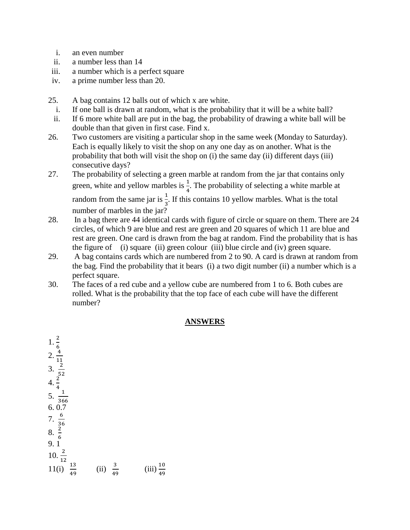- i. an even number
- ii. a number less than 14
- iii. a number which is a perfect square
- iv. a prime number less than 20.
- 25. A bag contains 12 balls out of which x are white.
	- i. If one ball is drawn at random, what is the probability that it will be a white ball?
	- ii. If 6 more white ball are put in the bag, the probability of drawing a white ball will be double than that given in first case. Find x.
- 26. Two customers are visiting a particular shop in the same week (Monday to Saturday). Each is equally likely to visit the shop on any one day as on another. What is the probability that both will visit the shop on (i) the same day (ii) different days (iii) consecutive days?
- 27. The probability of selecting a green marble at random from the jar that contains only green, white and yellow marbles is  $\frac{1}{4}$ . The probability of selecting a white marble at random from the same jar is  $\frac{1}{3}$ . If this contains 10 yellow marbles. What is the total number of marbles in the jar?
- 28. In a bag there are 44 identical cards with figure of circle or square on them. There are 24 circles, of which 9 are blue and rest are green and 20 squares of which 11 are blue and rest are green. One card is drawn from the bag at random. Find the probability that is has the figure of (i) square (ii) green colour (iii) blue circle and (iv) green square.
- 29. A bag contains cards which are numbered from 2 to 90. A card is drawn at random from the bag. Find the probability that it bears (i) a two digit number (ii) a number which is a perfect square.
- 30. The faces of a red cube and a yellow cube are numbered from 1 to 6. Both cubes are rolled. What is the probability that the top face of each cube will have the different number?

### **ANSWERS**